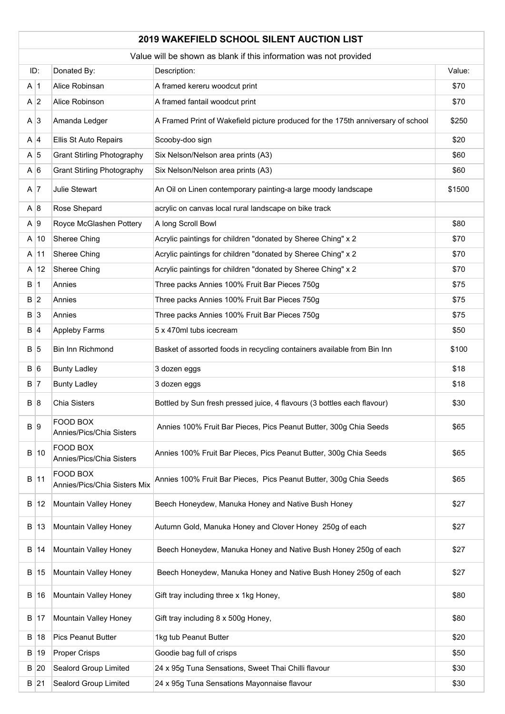## **2019 WAKEFIELD SCHOOL SILENT AUCTION LIST**

|            | Value will be shown as blank if this information was not provided |                                          |                                                                                  |        |  |
|------------|-------------------------------------------------------------------|------------------------------------------|----------------------------------------------------------------------------------|--------|--|
| ID:        |                                                                   | Donated By:                              | Description:                                                                     | Value: |  |
| A 1        |                                                                   | Alice Robinsan                           | A framed kereru woodcut print                                                    | \$70   |  |
| A 2        |                                                                   | Alice Robinson                           | A framed fantail woodcut print                                                   | \$70   |  |
| $A \mid 3$ |                                                                   | Amanda Ledger                            | A Framed Print of Wakefield picture produced for the 175th anniversary of school | \$250  |  |
| $A \mid 4$ |                                                                   | Ellis St Auto Repairs                    | Scooby-doo sign                                                                  | \$20   |  |
| A 5        |                                                                   | <b>Grant Stirling Photography</b>        | Six Nelson/Nelson area prints (A3)                                               | \$60   |  |
| A 6        |                                                                   | <b>Grant Stirling Photography</b>        | Six Nelson/Nelson area prints (A3)                                               | \$60   |  |
| A 7        |                                                                   | Julie Stewart                            | An Oil on Linen contemporary painting-a large moody landscape                    | \$1500 |  |
| A 8        |                                                                   | Rose Shepard                             | acrylic on canvas local rural landscape on bike track                            |        |  |
| A 9        |                                                                   | Royce McGlashen Pottery                  | A long Scroll Bowl                                                               | \$80   |  |
|            | A 10                                                              | Sheree Ching                             | Acrylic paintings for children "donated by Sheree Ching" x 2                     | \$70   |  |
|            | $A$ 11                                                            | Sheree Ching                             | Acrylic paintings for children "donated by Sheree Ching" x 2                     | \$70   |  |
|            | A 12                                                              | Sheree Ching                             | Acrylic paintings for children "donated by Sheree Ching" x 2                     | \$70   |  |
| B 1        |                                                                   | Annies                                   | Three packs Annies 100% Fruit Bar Pieces 750g                                    | \$75   |  |
| B 2        |                                                                   | Annies                                   | Three packs Annies 100% Fruit Bar Pieces 750g                                    | \$75   |  |
| B 3        |                                                                   | Annies                                   | Three packs Annies 100% Fruit Bar Pieces 750g                                    | \$75   |  |
| B 4        |                                                                   | <b>Appleby Farms</b>                     | 5 x 470ml tubs icecream                                                          | \$50   |  |
| B 5        |                                                                   | Bin Inn Richmond                         | Basket of assorted foods in recycling containers available from Bin Inn          | \$100  |  |
| B 6        |                                                                   | <b>Bunty Ladley</b>                      | 3 dozen eggs                                                                     | \$18   |  |
| B 7        |                                                                   | <b>Bunty Ladley</b>                      | 3 dozen eggs                                                                     | \$18   |  |
| B 8        |                                                                   | Chia Sisters                             | Bottled by Sun fresh pressed juice, 4 flavours (3 bottles each flavour)          | \$30   |  |
| B 9        |                                                                   | FOOD BOX<br>Annies/Pics/Chia Sisters     | Annies 100% Fruit Bar Pieces, Pics Peanut Butter, 300g Chia Seeds                | \$65   |  |
|            | B 10                                                              | FOOD BOX<br>Annies/Pics/Chia Sisters     | Annies 100% Fruit Bar Pieces, Pics Peanut Butter, 300g Chia Seeds                | \$65   |  |
|            | B 11                                                              | FOOD BOX<br>Annies/Pics/Chia Sisters Mix | Annies 100% Fruit Bar Pieces, Pics Peanut Butter, 300g Chia Seeds                | \$65   |  |
|            | B 12                                                              | Mountain Valley Honey                    | Beech Honeydew, Manuka Honey and Native Bush Honey                               | \$27   |  |
|            | B 13                                                              | Mountain Valley Honey                    | Autumn Gold, Manuka Honey and Clover Honey 250g of each                          | \$27   |  |
|            | B 14                                                              | Mountain Valley Honey                    | Beech Honeydew, Manuka Honey and Native Bush Honey 250g of each                  | \$27   |  |
|            | B 15                                                              | Mountain Valley Honey                    | Beech Honeydew, Manuka Honey and Native Bush Honey 250g of each                  | \$27   |  |
|            | B 16                                                              | Mountain Valley Honey                    | Gift tray including three x 1kg Honey,                                           | \$80   |  |
|            | B 17                                                              | Mountain Valley Honey                    | Gift tray including 8 x 500g Honey,                                              | \$80   |  |
|            | B   18                                                            | Pics Peanut Butter                       | 1kg tub Peanut Butter                                                            | \$20   |  |
|            | B 19                                                              | Proper Crisps                            | Goodie bag full of crisps                                                        | \$50   |  |
|            | B 20                                                              | Sealord Group Limited                    | 24 x 95g Tuna Sensations, Sweet Thai Chilli flavour                              | \$30   |  |
|            | $B$ 21                                                            | Sealord Group Limited                    | 24 x 95g Tuna Sensations Mayonnaise flavour                                      | \$30   |  |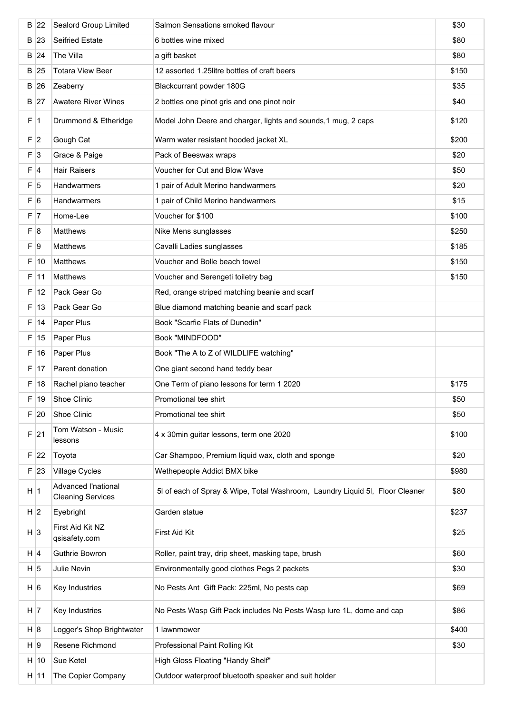|     | $B$ 22  | Sealord Group Limited                           | Salmon Sensations smoked flavour                                             | \$30  |
|-----|---------|-------------------------------------------------|------------------------------------------------------------------------------|-------|
|     | B 23    | <b>Seifried Estate</b>                          | 6 bottles wine mixed                                                         | \$80  |
|     | $B$ 24  | The Villa                                       | a gift basket                                                                | \$80  |
|     | B 25    | <b>Totara View Beer</b>                         | 12 assorted 1.25 litre bottles of craft beers                                | \$150 |
|     | B 26    | Zeaberry                                        | Blackcurrant powder 180G                                                     | \$35  |
|     | B 27    | <b>Awatere River Wines</b>                      | 2 bottles one pinot gris and one pinot noir                                  | \$40  |
| F.  | 1       | Drummond & Etheridge                            | Model John Deere and charger, lights and sounds, 1 mug, 2 caps               | \$120 |
| F 2 |         | Gough Cat                                       | Warm water resistant hooded jacket XL                                        | \$200 |
| F 3 |         | Grace & Paige                                   | Pack of Beeswax wraps                                                        | \$20  |
| F 4 |         | Hair Raisers                                    | Voucher for Cut and Blow Wave                                                | \$50  |
| F 5 |         | Handwarmers                                     | 1 pair of Adult Merino handwarmers                                           | \$20  |
| F 6 |         | Handwarmers                                     | 1 pair of Child Merino handwarmers                                           | \$15  |
| F 7 |         | Home-Lee                                        | Voucher for \$100                                                            | \$100 |
| F 8 |         | <b>Matthews</b>                                 | Nike Mens sunglasses                                                         | \$250 |
| F 9 |         | Matthews                                        | Cavalli Ladies sunglasses                                                    | \$185 |
| F   | 10      | Matthews                                        | Voucher and Bolle beach towel                                                | \$150 |
| F   | 11      | Matthews                                        | Voucher and Serengeti toiletry bag                                           | \$150 |
| F   | 12      | Pack Gear Go                                    | Red, orange striped matching beanie and scarf                                |       |
| F   | 13      | Pack Gear Go                                    | Blue diamond matching beanie and scarf pack                                  |       |
| F   | 14      | Paper Plus                                      | Book "Scarfie Flats of Dunedin"                                              |       |
| F   | 15      | Paper Plus                                      | Book "MINDFOOD"                                                              |       |
| F   | 16      | Paper Plus                                      | Book "The A to Z of WILDLIFE watching"                                       |       |
| F.  | 17      | Parent donation                                 | One giant second hand teddy bear                                             |       |
| F   | 18      | Rachel piano teacher                            | One Term of piano lessons for term 1 2020                                    | \$175 |
|     | F 19    | Shoe Clinic                                     | Promotional tee shirt                                                        | \$50  |
|     | F 20    | Shoe Clinic                                     | Promotional tee shirt                                                        | \$50  |
|     | $F$  21 | Tom Watson - Music<br>lessons                   | 4 x 30min guitar lessons, term one 2020                                      | \$100 |
|     | $F$  22 | Toyota                                          | Car Shampoo, Premium liquid wax, cloth and sponge                            | \$20  |
|     | $F$  23 | Village Cycles                                  | Wethepeople Addict BMX bike                                                  | \$980 |
| H 1 |         | Advanced l'national<br><b>Cleaning Services</b> | 5I of each of Spray & Wipe, Total Washroom, Laundry Liquid 5I, Floor Cleaner | \$80  |
| H 2 |         | Eyebright                                       | Garden statue                                                                | \$237 |
| H 3 |         | First Aid Kit NZ<br>qsisafety.com               | First Aid Kit                                                                | \$25  |
| H 4 |         | Guthrie Bowron                                  | Roller, paint tray, drip sheet, masking tape, brush                          | \$60  |
| H 5 |         | Julie Nevin                                     | Environmentally good clothes Pegs 2 packets                                  | \$30  |
| H 6 |         | Key Industries                                  | No Pests Ant Gift Pack: 225ml, No pests cap                                  | \$69  |
| H 7 |         | Key Industries                                  | No Pests Wasp Gift Pack includes No Pests Wasp lure 1L, dome and cap         | \$86  |
| H 8 |         | Logger's Shop Brightwater                       | 1 lawnmower                                                                  | \$400 |
| H 9 |         | Resene Richmond                                 | Professional Paint Rolling Kit                                               | \$30  |
|     | H 10    | Sue Ketel                                       | High Gloss Floating "Handy Shelf"                                            |       |
|     | H 11    | The Copier Company                              | Outdoor waterproof bluetooth speaker and suit holder                         |       |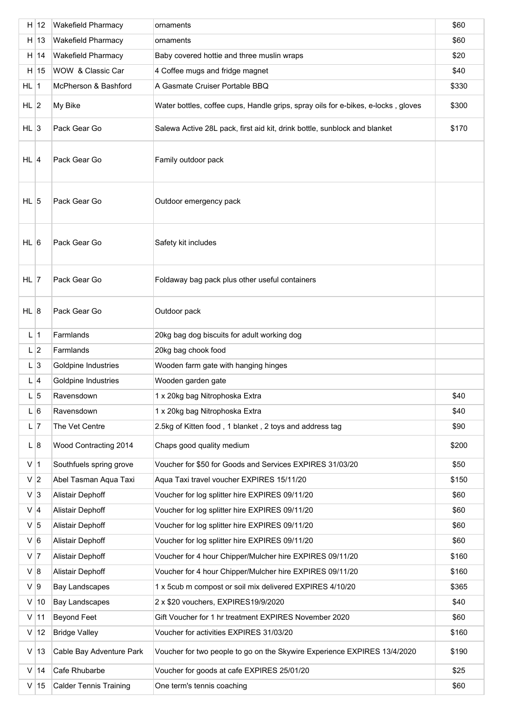|                | H 12    | <b>Wakefield Pharmacy</b>     | ornaments                                                                         | \$60  |
|----------------|---------|-------------------------------|-----------------------------------------------------------------------------------|-------|
|                | H 13    | <b>Wakefield Pharmacy</b>     | ornaments                                                                         | \$60  |
|                | H 14    | <b>Wakefield Pharmacy</b>     | Baby covered hottie and three muslin wraps                                        | \$20  |
|                | H 15    | WOW & Classic Car             | 4 Coffee mugs and fridge magnet                                                   | \$40  |
| $HL$ 1         |         | McPherson & Bashford          | A Gasmate Cruiser Portable BBQ                                                    | \$330 |
| $HL$ 2         |         | My Bike                       | Water bottles, coffee cups, Handle grips, spray oils for e-bikes, e-locks, gloves | \$300 |
| HL $ 3 $       |         | Pack Gear Go                  | Salewa Active 28L pack, first aid kit, drink bottle, sunblock and blanket         | \$170 |
| $HL$ 4         |         | Pack Gear Go                  | Family outdoor pack                                                               |       |
| $HL$ 5         |         | Pack Gear Go                  | Outdoor emergency pack                                                            |       |
| $HL$ 6         |         | Pack Gear Go                  | Safety kit includes                                                               |       |
| $HL$  7        |         | Pack Gear Go                  | Foldaway bag pack plus other useful containers                                    |       |
| $HL$ 8         |         | Pack Gear Go                  | Outdoor pack                                                                      |       |
| $L$  1         |         | Farmlands                     | 20kg bag dog biscuits for adult working dog                                       |       |
| L 2            |         | Farmlands                     | 20kg bag chook food                                                               |       |
| $L \vert 3$    |         | Goldpine Industries           | Wooden farm gate with hanging hinges                                              |       |
| $L \vert 4$    |         | Goldpine Industries           | Wooden garden gate                                                                |       |
|                | 5       | Ravensdown                    | 1 x 20kg bag Nitrophoska Extra                                                    | \$40  |
| L 6            |         | Ravensdown                    | 1 x 20kg bag Nitrophoska Extra                                                    | \$40  |
| $L$  7         |         | The Vet Centre                | 2.5kg of Kitten food, 1 blanket, 2 toys and address tag                           | \$90  |
| L 8            |         | Wood Contracting 2014         | Chaps good quality medium                                                         | \$200 |
| $V$  1         |         | Southfuels spring grove       | Voucher for \$50 for Goods and Services EXPIRES 31/03/20                          | \$50  |
| V <sub>2</sub> |         | Abel Tasman Aqua Taxi         | Aqua Taxi travel voucher EXPIRES 15/11/20                                         | \$150 |
| $V$ 3          |         | Alistair Dephoff              | Voucher for log splitter hire EXPIRES 09/11/20                                    | \$60  |
| $V$ 4          |         | Alistair Dephoff              | Voucher for log splitter hire EXPIRES 09/11/20                                    | \$60  |
| $V$ 5          |         | Alistair Dephoff              | Voucher for log splitter hire EXPIRES 09/11/20                                    | \$60  |
| V 6            |         | Alistair Dephoff              | Voucher for log splitter hire EXPIRES 09/11/20                                    | \$60  |
| $V$  7         |         | Alistair Dephoff              | Voucher for 4 hour Chipper/Mulcher hire EXPIRES 09/11/20                          | \$160 |
| V 8            |         | Alistair Dephoff              | Voucher for 4 hour Chipper/Mulcher hire EXPIRES 09/11/20                          | \$160 |
| V 9            |         | <b>Bay Landscapes</b>         | 1 x 5cub m compost or soil mix delivered EXPIRES 4/10/20                          | \$365 |
|                | $V$  10 | Bay Landscapes                | 2 x \$20 vouchers, EXPIRES19/9/2020                                               | \$40  |
|                | $V$ 11  | Beyond Feet                   | Gift Voucher for 1 hr treatment EXPIRES November 2020                             | \$60  |
| $\mathsf{V}$   | 12      | <b>Bridge Valley</b>          | Voucher for activities EXPIRES 31/03/20                                           | \$160 |
| V              | 13      | Cable Bay Adventure Park      | Voucher for two people to go on the Skywire Experience EXPIRES 13/4/2020          | \$190 |
|                | V   14  | Cafe Rhubarbe                 | Voucher for goods at cafe EXPIRES 25/01/20                                        | \$25  |
|                | V   15  | <b>Calder Tennis Training</b> | One term's tennis coaching                                                        | \$60  |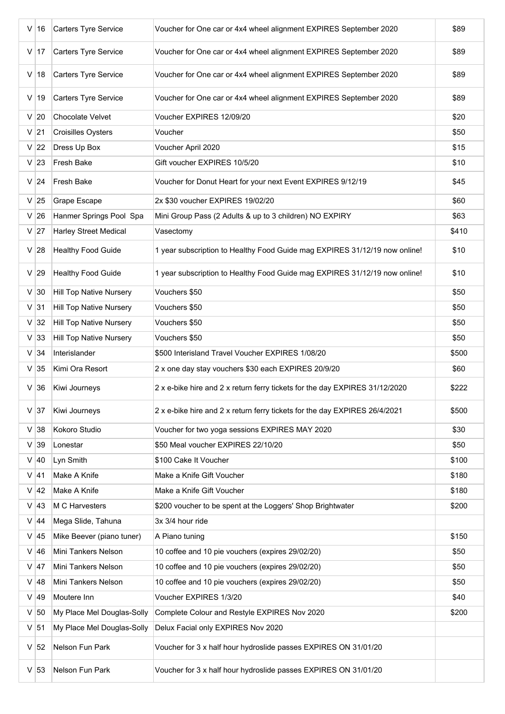| V   | 16     | Carters Tyre Service           | Voucher for One car or 4x4 wheel alignment EXPIRES September 2020           | \$89  |
|-----|--------|--------------------------------|-----------------------------------------------------------------------------|-------|
|     | $V$ 17 | Carters Tyre Service           | Voucher for One car or 4x4 wheel alignment EXPIRES September 2020           | \$89  |
| V l | 18     | Carters Tyre Service           | Voucher for One car or 4x4 wheel alignment EXPIRES September 2020           | \$89  |
|     | $V$ 19 | Carters Tyre Service           | Voucher for One car or 4x4 wheel alignment EXPIRES September 2020           | \$89  |
|     | $V$ 20 | Chocolate Velvet               | Voucher EXPIRES 12/09/20                                                    | \$20  |
|     | $V$ 21 | <b>Croisilles Oysters</b>      | Voucher                                                                     | \$50  |
|     | $V$ 22 | Dress Up Box                   | Voucher April 2020                                                          | \$15  |
|     | $V$ 23 | Fresh Bake                     | Gift voucher EXPIRES 10/5/20                                                | \$10  |
|     | $V$ 24 | Fresh Bake                     | Voucher for Donut Heart for your next Event EXPIRES 9/12/19                 | \$45  |
|     | $V$ 25 | <b>Grape Escape</b>            | 2x \$30 voucher EXPIRES 19/02/20                                            | \$60  |
|     | $V$ 26 | Hanmer Springs Pool Spa        | Mini Group Pass (2 Adults & up to 3 children) NO EXPIRY                     | \$63  |
|     | $V$ 27 | <b>Harley Street Medical</b>   | Vasectomy                                                                   | \$410 |
|     | $V$ 28 | <b>Healthy Food Guide</b>      | 1 year subscription to Healthy Food Guide mag EXPIRES 31/12/19 now online!  | \$10  |
|     | $V$ 29 | <b>Healthy Food Guide</b>      | 1 year subscription to Healthy Food Guide mag EXPIRES 31/12/19 now online!  | \$10  |
|     | $V$ 30 | <b>Hill Top Native Nursery</b> | Vouchers \$50                                                               | \$50  |
|     | $V$ 31 | <b>Hill Top Native Nursery</b> | Vouchers \$50                                                               | \$50  |
|     | $V$ 32 | <b>Hill Top Native Nursery</b> | Vouchers \$50                                                               | \$50  |
|     | $V$ 33 | <b>Hill Top Native Nursery</b> | Vouchers \$50                                                               | \$50  |
|     | $V$ 34 | Interislander                  | \$500 Interisland Travel Voucher EXPIRES 1/08/20                            | \$500 |
|     | $V$ 35 | Kimi Ora Resort                | 2 x one day stay vouchers \$30 each EXPIRES 20/9/20                         | \$60  |
|     | $V$ 36 | Kiwi Journeys                  | 2 x e-bike hire and 2 x return ferry tickets for the day EXPIRES 31/12/2020 | \$222 |
|     | $V$ 37 | Kiwi Journeys                  | 2 x e-bike hire and 2 x return ferry tickets for the day EXPIRES 26/4/2021  | \$500 |
|     | $V$ 38 | Kokoro Studio                  | Voucher for two yoga sessions EXPIRES MAY 2020                              | \$30  |
|     | $V$ 39 | Lonestar                       | \$50 Meal voucher EXPIRES 22/10/20                                          | \$50  |
|     | $V$ 40 | Lyn Smith                      | \$100 Cake It Voucher                                                       | \$100 |
|     | $V$ 41 | Make A Knife                   | Make a Knife Gift Voucher                                                   | \$180 |
|     | $V$ 42 | Make A Knife                   | Make a Knife Gift Voucher                                                   | \$180 |
|     | $V$ 43 | M C Harvesters                 | \$200 voucher to be spent at the Loggers' Shop Brightwater                  | \$200 |
|     | $V$ 44 | Mega Slide, Tahuna             | 3x 3/4 hour ride                                                            |       |
|     | $V$ 45 | Mike Beever (piano tuner)      | A Piano tuning                                                              | \$150 |
|     | $V$ 46 | Mini Tankers Nelson            | 10 coffee and 10 pie vouchers (expires 29/02/20)                            | \$50  |
|     | $V$ 47 | Mini Tankers Nelson            | 10 coffee and 10 pie vouchers (expires 29/02/20)                            | \$50  |
| V   | 48     | Mini Tankers Nelson            | 10 coffee and 10 pie vouchers (expires 29/02/20)                            | \$50  |
| V   | 49     | Moutere Inn                    | Voucher EXPIRES 1/3/20                                                      | \$40  |
|     | $V$ 50 | My Place Mel Douglas-Solly     | Complete Colour and Restyle EXPIRES Nov 2020                                | \$200 |
|     | $V$ 51 | My Place Mel Douglas-Solly     | Delux Facial only EXPIRES Nov 2020                                          |       |
|     | $V$ 52 | Nelson Fun Park                | Voucher for 3 x half hour hydroslide passes EXPIRES ON 31/01/20             |       |
|     | $V$ 53 | Nelson Fun Park                | Voucher for 3 x half hour hydroslide passes EXPIRES ON 31/01/20             |       |